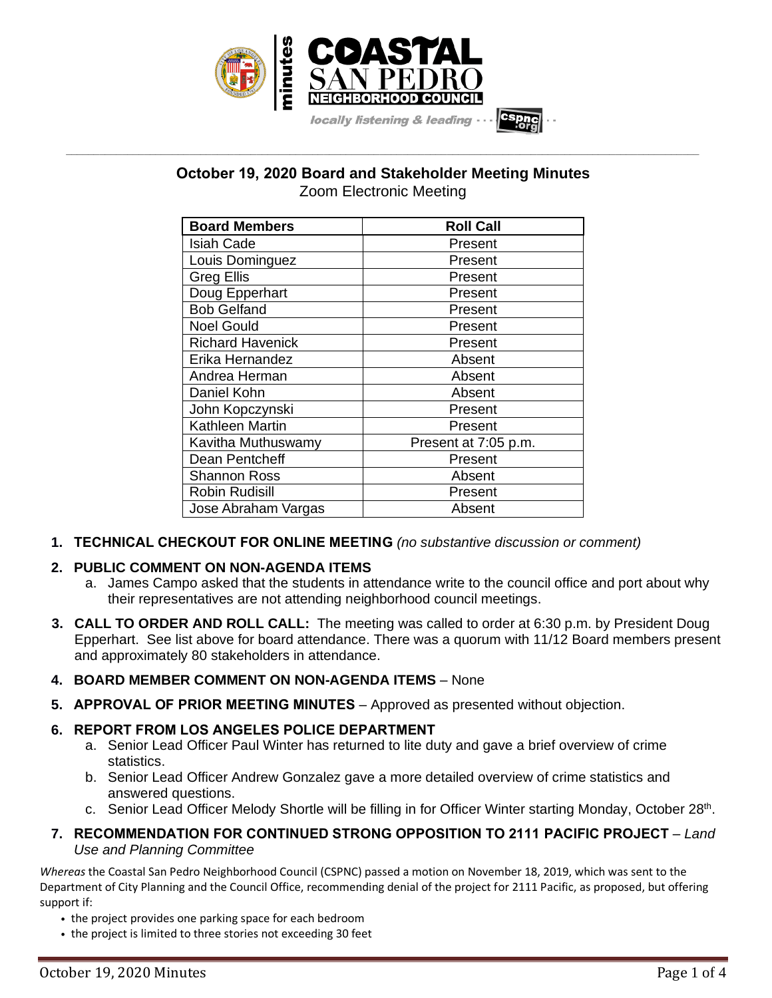

# **October 19, 2020 Board and Stakeholder Meeting Minutes** Zoom Electronic Meeting

**\_\_\_\_\_\_\_\_\_\_\_\_\_\_\_\_\_\_\_\_\_\_\_\_\_\_\_\_\_\_\_\_\_\_\_\_\_\_\_\_\_\_\_\_\_\_\_\_\_\_\_\_\_\_\_\_\_\_\_\_\_\_\_\_\_\_\_\_\_\_\_\_\_\_\_\_\_\_\_\_\_\_\_\_\_\_\_\_\_\_\_\_\_\_\_\_\_\_\_\_\_\_\_\_\_\_\_\_\_\_\_\_\_**

| <b>Board Members</b>    | <b>Roll Call</b>     |
|-------------------------|----------------------|
| <b>Isiah Cade</b>       | Present              |
| Louis Dominguez         | Present              |
| <b>Greg Ellis</b>       | Present              |
| Doug Epperhart          | Present              |
| <b>Bob Gelfand</b>      | Present              |
| <b>Noel Gould</b>       | Present              |
| <b>Richard Havenick</b> | Present              |
| Erika Hernandez         | Absent               |
| Andrea Herman           | Absent               |
| Daniel Kohn             | Absent               |
| John Kopczynski         | Present              |
| Kathleen Martin         | Present              |
| Kavitha Muthuswamy      | Present at 7:05 p.m. |
| Dean Pentcheff          | Present              |
| Shannon Ross            | Absent               |
| <b>Robin Rudisill</b>   | Present              |
| Jose Abraham Vargas     | Absent               |

**1. TECHNICAL CHECKOUT FOR ONLINE MEETING** *(no substantive discussion or comment)*

# **2. PUBLIC COMMENT ON NON-AGENDA ITEMS**

- a. James Campo asked that the students in attendance write to the council office and port about why their representatives are not attending neighborhood council meetings.
- **3. CALL TO ORDER AND ROLL CALL:** The meeting was called to order at 6:30 p.m. by President Doug Epperhart. See list above for board attendance. There was a quorum with 11/12 Board members present and approximately 80 stakeholders in attendance.
- **4. BOARD MEMBER COMMENT ON NON-AGENDA ITEMS** None
- **5. APPROVAL OF PRIOR MEETING MINUTES** Approved as presented without objection.

# **6. REPORT FROM LOS ANGELES POLICE DEPARTMENT**

- a. Senior Lead Officer Paul Winter has returned to lite duty and gave a brief overview of crime statistics.
- b. Senior Lead Officer Andrew Gonzalez gave a more detailed overview of crime statistics and answered questions.
- c. Senior Lead Officer Melody Shortle will be filling in for Officer Winter starting Monday, October 28<sup>th</sup>.
- **7. RECOMMENDATION FOR CONTINUED STRONG OPPOSITION TO 2111 PACIFIC PROJECT** *Land Use and Planning Committee*

*Whereas* the Coastal San Pedro Neighborhood Council (CSPNC) passed a motion on November 18, 2019, which was sent to the Department of City Planning and the Council Office, recommending denial of the project for 2111 Pacific, as proposed, but offering support if:

- *•* the project provides one parking space for each bedroom
- *•* the project is limited to three stories not exceeding 30 feet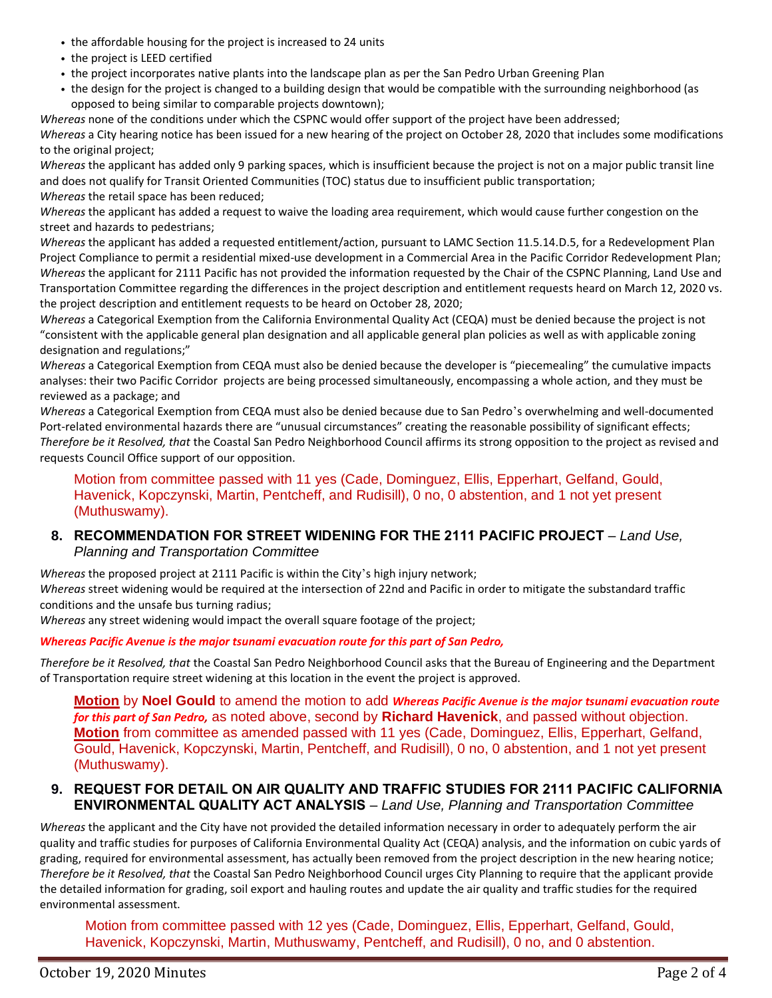- *•* the affordable housing for the project is increased to 24 units
- *•* the project is LEED certified
- *•* the project incorporates native plants into the landscape plan as per the San Pedro Urban Greening Plan
- *•* the design for the project is changed to a building design that would be compatible with the surrounding neighborhood (as opposed to being similar to comparable projects downtown);

*Whereas* none of the conditions under which the CSPNC would offer support of the project have been addressed; *Whereas* a City hearing notice has been issued for a new hearing of the project on October 28, 2020 that includes some modifications to the original project;

*Whereas* the applicant has added only 9 parking spaces, which is insufficient because the project is not on a major public transit line and does not qualify for Transit Oriented Communities (TOC) status due to insufficient public transportation; *Whereas* the retail space has been reduced;

*Whereas* the applicant has added a request to waive the loading area requirement, which would cause further congestion on the street and hazards to pedestrians;

*Whereas* the applicant has added a requested entitlement/action, pursuant to LAMC Section 11.5.14.D.5, for a Redevelopment Plan Project Compliance to permit a residential mixed-use development in a Commercial Area in the Pacific Corridor Redevelopment Plan; *Whereas* the applicant for 2111 Pacific has not provided the information requested by the Chair of the CSPNC Planning, Land Use and Transportation Committee regarding the differences in the project description and entitlement requests heard on March 12, 2020 vs. the project description and entitlement requests to be heard on October 28, 2020;

*Whereas* a Categorical Exemption from the California Environmental Quality Act (CEQA) must be denied because the project is not "consistent with the applicable general plan designation and all applicable general plan policies as well as with applicable zoning designation and regulations;"

*Whereas* a Categorical Exemption from CEQA must also be denied because the developer is "piecemealing" the cumulative impacts analyses: their two Pacific Corridor projects are being processed simultaneously, encompassing a whole action, and they must be reviewed as a package; and

*Whereas* a Categorical Exemption from CEQA must also be denied because due to San Pedro's overwhelming and well-documented Port-related environmental hazards there are "unusual circumstances" creating the reasonable possibility of significant effects; *Therefore be it Resolved, that* the Coastal San Pedro Neighborhood Council affirms its strong opposition to the project as revised and requests Council Office support of our opposition.

Motion from committee passed with 11 yes (Cade, Dominguez, Ellis, Epperhart, Gelfand, Gould, Havenick, Kopczynski, Martin, Pentcheff, and Rudisill), 0 no, 0 abstention, and 1 not yet present (Muthuswamy).

#### **8. RECOMMENDATION FOR STREET WIDENING FOR THE 2111 PACIFIC PROJECT** – *Land Use, Planning and Transportation Committee*

*Whereas* the proposed project at 2111 Pacific is within the City 's high injury network;

*Whereas* street widening would be required at the intersection of 22nd and Pacific in order to mitigate the substandard traffic conditions and the unsafe bus turning radius;

*Whereas* any street widening would impact the overall square footage of the project;

*Whereas Pacific Avenue is the major tsunami evacuation route for this part of San Pedro,*

*Therefore be it Resolved, that* the Coastal San Pedro Neighborhood Council asks that the Bureau of Engineering and the Department of Transportation require street widening at this location in the event the project is approved.

**Motion** by **Noel Gould** to amend the motion to add *Whereas Pacific Avenue is the major tsunami evacuation route for this part of San Pedro,* as noted above, second by **Richard Havenick**, and passed without objection. **Motion** from committee as amended passed with 11 yes (Cade, Dominguez, Ellis, Epperhart, Gelfand, Gould, Havenick, Kopczynski, Martin, Pentcheff, and Rudisill), 0 no, 0 abstention, and 1 not yet present (Muthuswamy).

### **9. REQUEST FOR DETAIL ON AIR QUALITY AND TRAFFIC STUDIES FOR 2111 PACIFIC CALIFORNIA ENVIRONMENTAL QUALITY ACT ANALYSIS** – *Land Use, Planning and Transportation Committee*

*Whereas* the applicant and the City have not provided the detailed information necessary in order to adequately perform the air quality and traffic studies for purposes of California Environmental Quality Act (CEQA) analysis, and the information on cubic yards of grading, required for environmental assessment, has actually been removed from the project description in the new hearing notice; *Therefore be it Resolved, that* the Coastal San Pedro Neighborhood Council urges City Planning to require that the applicant provide the detailed information for grading, soil export and hauling routes and update the air quality and traffic studies for the required environmental assessment.

Motion from committee passed with 12 yes (Cade, Dominguez, Ellis, Epperhart, Gelfand, Gould, Havenick, Kopczynski, Martin, Muthuswamy, Pentcheff, and Rudisill), 0 no, and 0 abstention.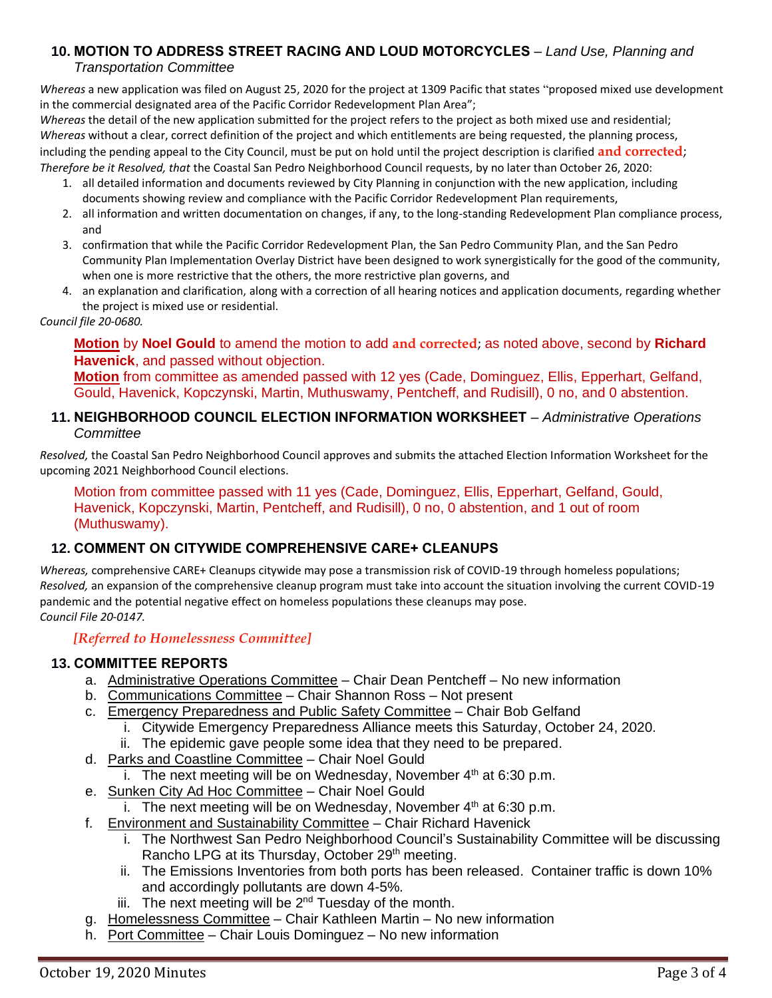# **10. MOTION TO ADDRESS STREET RACING AND LOUD MOTORCYCLES** – *Land Use, Planning and*

## *Transportation Committee*

*Whereas* a new application was filed on August 25, 2020 for the project at 1309 Pacific that states "proposed mixed use development in the commercial designated area of the Pacific Corridor Redevelopment Plan Area";

*Whereas* the detail of the new application submitted for the project refers to the project as both mixed use and residential; *Whereas* without a clear, correct definition of the project and which entitlements are being requested, the planning process, including the pending appeal to the City Council, must be put on hold until the project description is clarified **and corrected**; *Therefore be it Resolved, that* the Coastal San Pedro Neighborhood Council requests, by no later than October 26, 2020:

- 1. all detailed information and documents reviewed by City Planning in conjunction with the new application, including documents showing review and compliance with the Pacific Corridor Redevelopment Plan requirements,
- 2. all information and written documentation on changes, if any, to the long-standing Redevelopment Plan compliance process, and
- 3. confirmation that while the Pacific Corridor Redevelopment Plan, the San Pedro Community Plan, and the San Pedro Community Plan Implementation Overlay District have been designed to work synergistically for the good of the community, when one is more restrictive that the others, the more restrictive plan governs, and
- 4. an explanation and clarification, along with a correction of all hearing notices and application documents, regarding whether the project is mixed use or residential.

### *Council file 20-0680.*

**Motion** by **Noel Gould** to amend the motion to add **and corrected**; as noted above, second by **Richard Havenick**, and passed without objection.

**Motion** from committee as amended passed with 12 yes (Cade, Dominguez, Ellis, Epperhart, Gelfand, Gould, Havenick, Kopczynski, Martin, Muthuswamy, Pentcheff, and Rudisill), 0 no, and 0 abstention.

## **11. NEIGHBORHOOD COUNCIL ELECTION INFORMATION WORKSHEET** – *Administrative Operations Committee*

*Resolved,* the Coastal San Pedro Neighborhood Council approves and submits the attached Election Information Worksheet for the upcoming 2021 Neighborhood Council elections.

Motion from committee passed with 11 yes (Cade, Dominguez, Ellis, Epperhart, Gelfand, Gould, Havenick, Kopczynski, Martin, Pentcheff, and Rudisill), 0 no, 0 abstention, and 1 out of room (Muthuswamy).

# **12. COMMENT ON CITYWIDE COMPREHENSIVE CARE+ CLEANUPS**

*Whereas,* comprehensive CARE+ Cleanups citywide may pose a transmission risk of COVID-19 through homeless populations; *Resolved,* an expansion of the comprehensive cleanup program must take into account the situation involving the current COVID-19 pandemic and the potential negative effect on homeless populations these cleanups may pose. *Council File 20-0147.*

# *[Referred to Homelessness Committee]*

# **13. COMMITTEE REPORTS**

- a. Administrative Operations Committee Chair Dean Pentcheff No new information
- b. Communications Committee Chair Shannon Ross Not present
- c. Emergency Preparedness and Public Safety Committee Chair Bob Gelfand
	- i. Citywide Emergency Preparedness Alliance meets this Saturday, October 24, 2020.
	- ii. The epidemic gave people some idea that they need to be prepared.
- d. Parks and Coastline Committee Chair Noel Gould
	- i. The next meeting will be on Wednesday, November  $4<sup>th</sup>$  at 6:30 p.m.
- e. Sunken City Ad Hoc Committee Chair Noel Gould
	- i. The next meeting will be on Wednesday, November  $4<sup>th</sup>$  at 6:30 p.m.
- f. Environment and Sustainability Committee Chair Richard Havenick
	- i. The Northwest San Pedro Neighborhood Council's Sustainability Committee will be discussing Rancho LPG at its Thursday, October 29<sup>th</sup> meeting.
	- ii. The Emissions Inventories from both ports has been released. Container traffic is down 10% and accordingly pollutants are down 4-5%.
	- iii. The next meeting will be  $2^{nd}$  Tuesday of the month.
- g. Homelessness Committee Chair Kathleen Martin No new information
- h. Port Committee Chair Louis Dominguez No new information